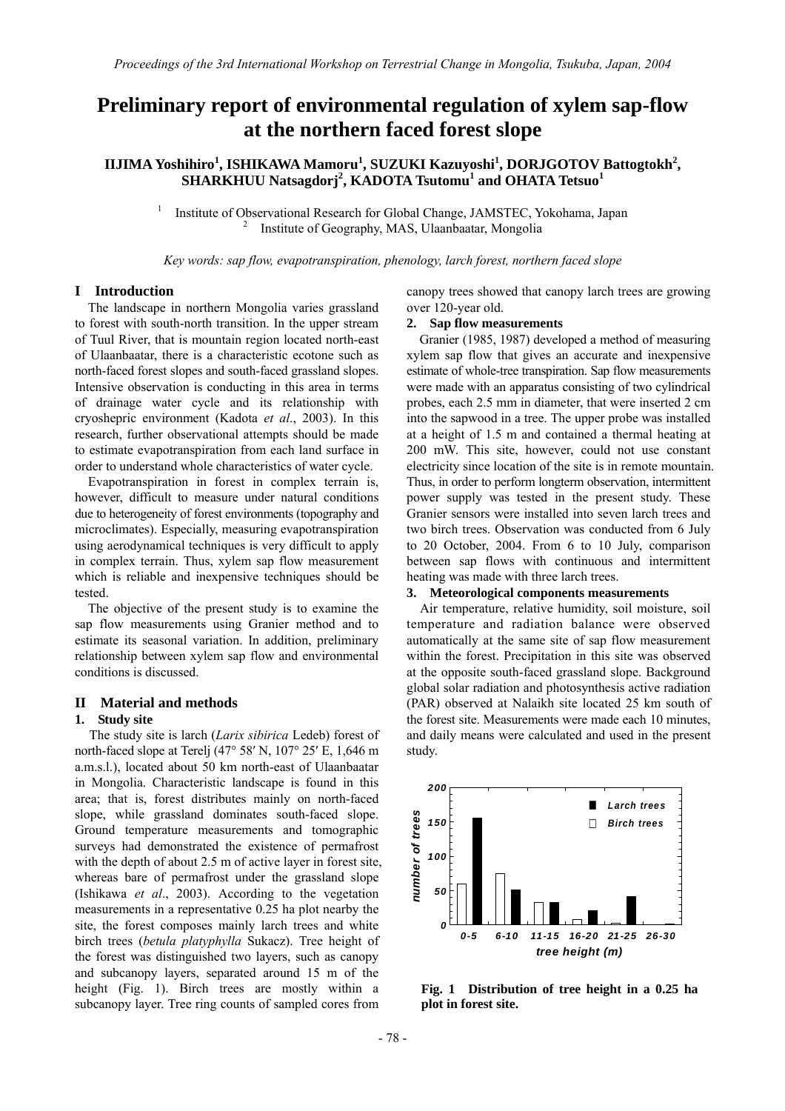# **Preliminary report of environmental regulation of xylem sap-flow at the northern faced forest slope**

# $\bf IIJIMA Yoshihiro<sup>1</sup>, ISHIKAWA Mamoru<sup>1</sup>, SUZUKI Kazuyoshi<sup>1</sup>, DORJGOTOV Battogtokh<sup>2</sup>,$ **SHARKHUU Natsagdorj<sup>2</sup> , KADOTA Tsutomu<sup>1</sup> and OHATA Tetsuo<sup>1</sup>**

1 Institute of Observational Research for Global Change, JAMSTEC, Yokohama, Japan 2 Institute of Geography, MAS, Ulaanbaatar, Mongolia

*Key words: sap flow, evapotranspiration, phenology, larch forest, northern faced slope* 

#### **I Introduction**

The landscape in northern Mongolia varies grassland to forest with south-north transition. In the upper stream of Tuul River, that is mountain region located north-east of Ulaanbaatar, there is a characteristic ecotone such as north-faced forest slopes and south-faced grassland slopes. Intensive observation is conducting in this area in terms of drainage water cycle and its relationship with cryoshepric environment (Kadota *et al*., 2003). In this research, further observational attempts should be made to estimate evapotranspiration from each land surface in order to understand whole characteristics of water cycle.

Evapotranspiration in forest in complex terrain is, however, difficult to measure under natural conditions due to heterogeneity of forest environments (topography and microclimates). Especially, measuring evapotranspiration using aerodynamical techniques is very difficult to apply in complex terrain. Thus, xylem sap flow measurement which is reliable and inexpensive techniques should be tested.

The objective of the present study is to examine the sap flow measurements using Granier method and to estimate its seasonal variation. In addition, preliminary relationship between xylem sap flow and environmental conditions is discussed.

## **II Material and methods**

## **1. Study site**

The study site is larch (*Larix sibirica* Ledeb) forest of north-faced slope at Terelj (47° 58′ N, 107° 25′ E, 1,646 m a.m.s.l.), located about 50 km north-east of Ulaanbaatar in Mongolia. Characteristic landscape is found in this area; that is, forest distributes mainly on north-faced slope, while grassland dominates south-faced slope. Ground temperature measurements and tomographic surveys had demonstrated the existence of permafrost with the depth of about 2.5 m of active layer in forest site, whereas bare of permafrost under the grassland slope (Ishikawa *et al*., 2003). According to the vegetation measurements in a representative 0.25 ha plot nearby the site, the forest composes mainly larch trees and white birch trees (*betula platyphylla* Sukacz). Tree height of the forest was distinguished two layers, such as canopy and subcanopy layers, separated around 15 m of the height (Fig. 1). Birch trees are mostly within a subcanopy layer. Tree ring counts of sampled cores from

canopy trees showed that canopy larch trees are growing over 120-year old.

## **2. Sap flow measurements**

Granier (1985, 1987) developed a method of measuring xylem sap flow that gives an accurate and inexpensive estimate of whole-tree transpiration. Sap flow measurements were made with an apparatus consisting of two cylindrical probes, each 2.5 mm in diameter, that were inserted 2 cm into the sapwood in a tree. The upper probe was installed at a height of 1.5 m and contained a thermal heating at 200 mW. This site, however, could not use constant electricity since location of the site is in remote mountain. Thus, in order to perform longterm observation, intermittent power supply was tested in the present study. These Granier sensors were installed into seven larch trees and two birch trees. Observation was conducted from 6 July to 20 October, 2004. From 6 to 10 July, comparison between sap flows with continuous and intermittent heating was made with three larch trees.

#### **3. Meteorological components measurements**

Air temperature, relative humidity, soil moisture, soil temperature and radiation balance were observed automatically at the same site of sap flow measurement within the forest. Precipitation in this site was observed at the opposite south-faced grassland slope. Background global solar radiation and photosynthesis active radiation (PAR) observed at Nalaikh site located 25 km south of the forest site. Measurements were made each 10 minutes, and daily means were calculated and used in the present study.



**Fig. 1 Distribution of tree height in a 0.25 ha plot in forest site.**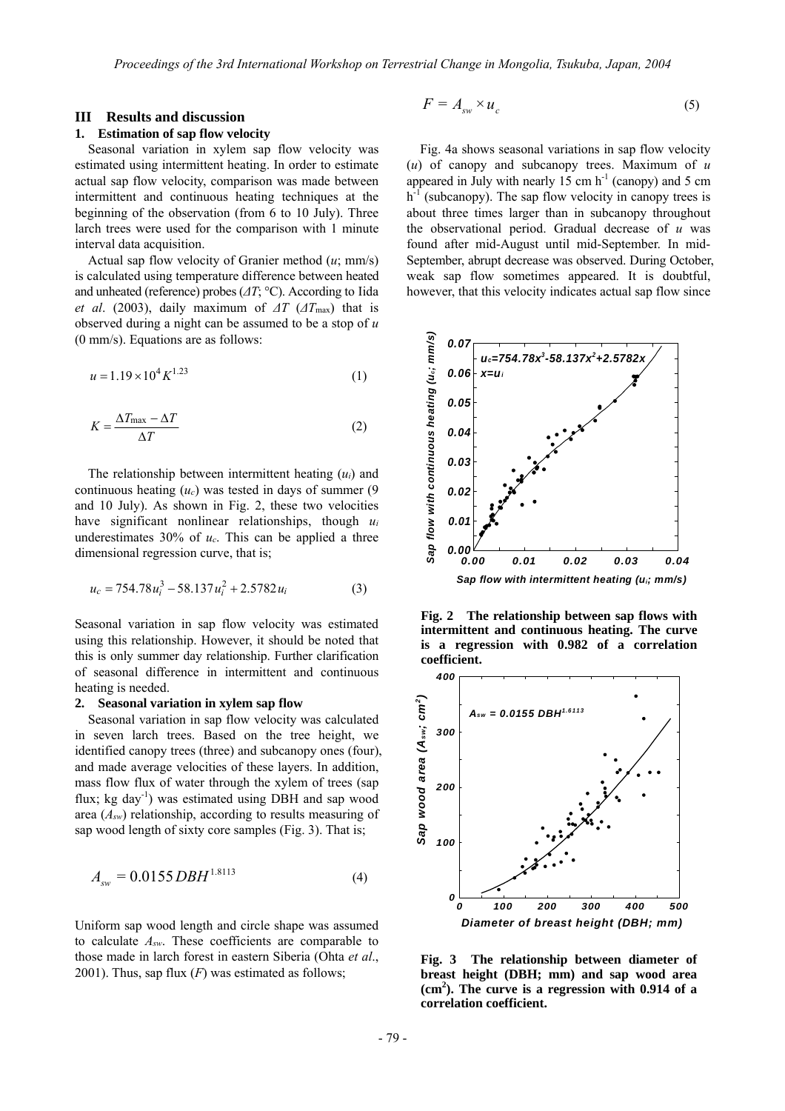#### **III Results and discussion**

#### **1. Estimation of sap flow velocity**

Seasonal variation in xylem sap flow velocity was estimated using intermittent heating. In order to estimate actual sap flow velocity, comparison was made between intermittent and continuous heating techniques at the beginning of the observation (from 6 to 10 July). Three larch trees were used for the comparison with 1 minute interval data acquisition.

Actual sap flow velocity of Granier method (*u*; mm/s) is calculated using temperature difference between heated and unheated (reference) probes (*∆T*; °C). According to Iida *et al.* (2003), daily maximum of  $\Delta T$  ( $\Delta T$ <sub>max</sub>) that is observed during a night can be assumed to be a stop of *u* (0 mm/s). Equations are as follows:

$$
u = 1.19 \times 10^4 K^{1.23} \tag{1}
$$

$$
K = \frac{\Delta T_{\text{max}} - \Delta T}{\Delta T} \tag{2}
$$

The relationship between intermittent heating (*ui*) and continuous heating (*uc*) was tested in days of summer (9 and 10 July). As shown in Fig. 2, these two velocities have significant nonlinear relationships, though *ui* underestimates 30% of *uc*. This can be applied a three dimensional regression curve, that is;

$$
u_c = 754.78u_i^3 - 58.137u_i^2 + 2.5782u_i \tag{3}
$$

Seasonal variation in sap flow velocity was estimated using this relationship. However, it should be noted that this is only summer day relationship. Further clarification of seasonal difference in intermittent and continuous heating is needed.

#### **2. Seasonal variation in xylem sap flow**

Seasonal variation in sap flow velocity was calculated in seven larch trees. Based on the tree height, we identified canopy trees (three) and subcanopy ones (four), and made average velocities of these layers. In addition, mass flow flux of water through the xylem of trees (sap flux;  $kg \, day^{-1}$ ) was estimated using DBH and sap wood area (*Asw*) relationship, according to results measuring of sap wood length of sixty core samples (Fig. 3). That is;

$$
A_{sw} = 0.0155 DBH^{1.8113}
$$
 (4)

Uniform sap wood length and circle shape was assumed to calculate *Asw*. These coefficients are comparable to those made in larch forest in eastern Siberia (Ohta *et al*., 2001). Thus, sap flux  $(F)$  was estimated as follows;

$$
F = A_{sw} \times u_c \tag{5}
$$

Fig. 4a shows seasonal variations in sap flow velocity (*u*) of canopy and subcanopy trees. Maximum of *u* appeared in July with nearly 15 cm  $h^{-1}$  (canopy) and 5 cm  $h^{-1}$  (subcanopy). The sap flow velocity in canopy trees is about three times larger than in subcanopy throughout the observational period. Gradual decrease of *u* was found after mid-August until mid-September. In mid-September, abrupt decrease was observed. During October, weak sap flow sometimes appeared. It is doubtful, however, that this velocity indicates actual sap flow since



**Fig. 2 The relationship between sap flows with intermittent and continuous heating. The curve is a regression with 0.982 of a correlation coefficient.** 



**Fig. 3 The relationship between diameter of breast height (DBH; mm) and sap wood area (cm2 ). The curve is a regression with 0.914 of a correlation coefficient.**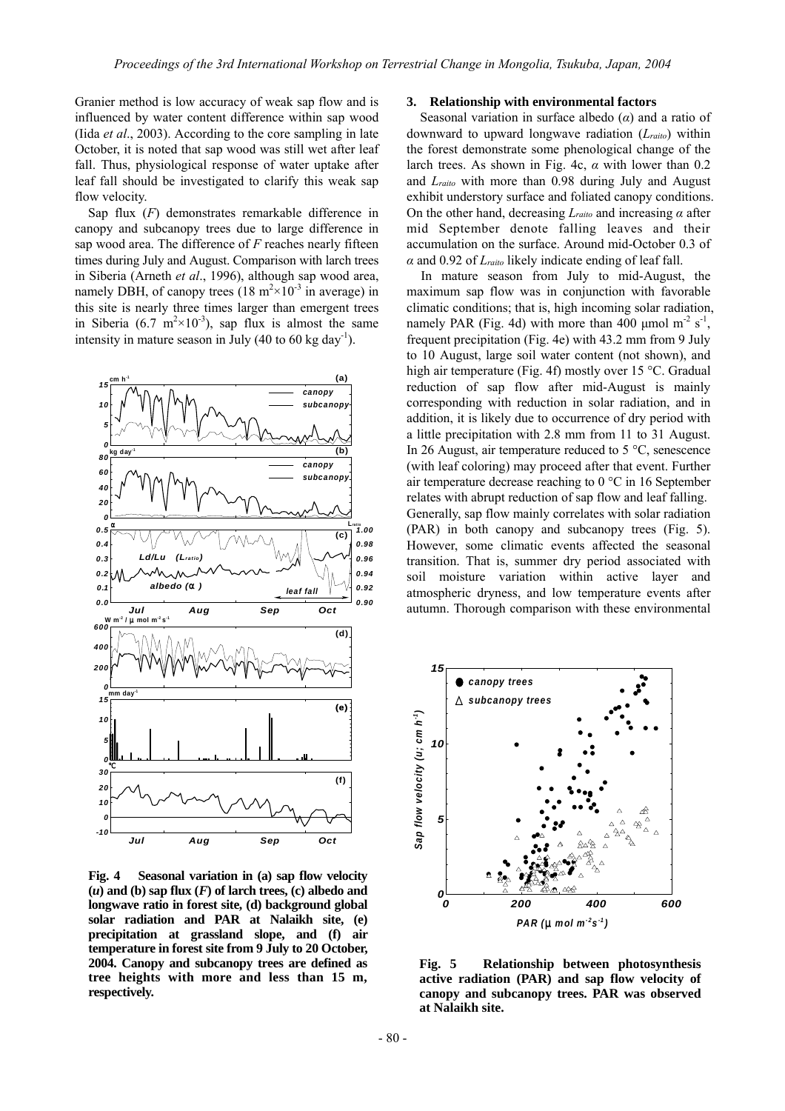Granier method is low accuracy of weak sap flow and is influenced by water content difference within sap wood (Iida *et al*., 2003). According to the core sampling in late October, it is noted that sap wood was still wet after leaf fall. Thus, physiological response of water uptake after leaf fall should be investigated to clarify this weak sap flow velocity.

Sap flux (*F*) demonstrates remarkable difference in canopy and subcanopy trees due to large difference in sap wood area. The difference of *F* reaches nearly fifteen times during July and August. Comparison with larch trees in Siberia (Arneth *et al*., 1996), although sap wood area, namely DBH, of canopy trees  $(18 \text{ m}^2 \times 10^{-3} \text{ in average})$  in this site is nearly three times larger than emergent trees in Siberia (6.7 m<sup>2</sup> $\times$ 10<sup>-3</sup>), sap flux is almost the same intensity in mature season in July (40 to 60 kg day<sup>-1</sup>).



**Fig. 4 Seasonal variation in (a) sap flow velocity**  $(u)$  and  $(b)$  sap flux  $(F)$  of larch trees,  $(c)$  albedo and **longwave ratio in forest site, (d) background global solar radiation and PAR at Nalaikh site, (e) precipitation at grassland slope, and (f) air temperature in forest site from 9 July to 20 October, 2004. Canopy and subcanopy trees are defined as tree heights with more and less than 15 m, respectively.** 

## **3. Relationship with environmental factors**

Seasonal variation in surface albedo (*α*) and a ratio of downward to upward longwave radiation (*Lraito*) within the forest demonstrate some phenological change of the larch trees. As shown in Fig. 4c, *α* with lower than 0.2 and *Lraito* with more than 0.98 during July and August exhibit understory surface and foliated canopy conditions. On the other hand, decreasing *Lraito* and increasing *α* after mid September denote falling leaves and their accumulation on the surface. Around mid-October 0.3 of *α* and 0.92 of *Lraito* likely indicate ending of leaf fall.

In mature season from July to mid-August, the maximum sap flow was in conjunction with favorable climatic conditions; that is, high incoming solar radiation, namely PAR (Fig. 4d) with more than 400 µmol  $m<sup>2</sup> s<sup>-1</sup>$ , frequent precipitation (Fig. 4e) with 43.2 mm from 9 July to 10 August, large soil water content (not shown), and high air temperature (Fig. 4f) mostly over 15 °C. Gradual reduction of sap flow after mid-August is mainly corresponding with reduction in solar radiation, and in addition, it is likely due to occurrence of dry period with a little precipitation with 2.8 mm from 11 to 31 August. In 26 August, air temperature reduced to 5 °C, senescence (with leaf coloring) may proceed after that event. Further air temperature decrease reaching to 0 °C in 16 September relates with abrupt reduction of sap flow and leaf falling. Generally, sap flow mainly correlates with solar radiation (PAR) in both canopy and subcanopy trees (Fig. 5). However, some climatic events affected the seasonal transition. That is, summer dry period associated with soil moisture variation within active layer and atmospheric dryness, and low temperature events after autumn. Thorough comparison with these environmental



**Fig. 5 Relationship between photosynthesis active radiation (PAR) and sap flow velocity of canopy and subcanopy trees. PAR was observed at Nalaikh site.**